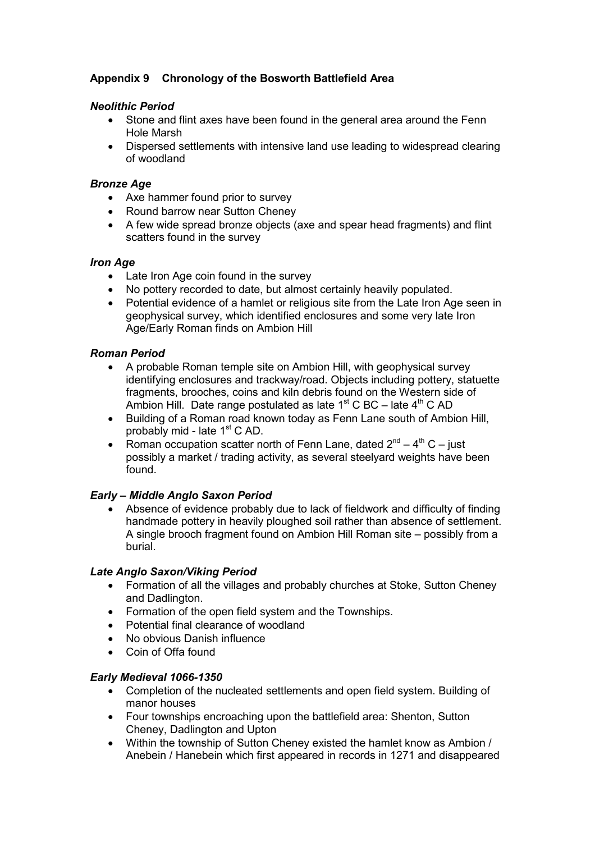# Appendix 9 Chronology of the Bosworth Battlefield Area

#### Neolithic Period

- Stone and flint axes have been found in the general area around the Fenn Hole Marsh
- Dispersed settlements with intensive land use leading to widespread clearing of woodland

#### Bronze Age

- Axe hammer found prior to survey
- Round barrow near Sutton Cheney
- A few wide spread bronze objects (axe and spear head fragments) and flint scatters found in the survey

#### Iron Age

- Late Iron Age coin found in the survey
- No pottery recorded to date, but almost certainly heavily populated.
- Potential evidence of a hamlet or religious site from the Late Iron Age seen in geophysical survey, which identified enclosures and some very late Iron Age/Early Roman finds on Ambion Hill

#### Roman Period

- A probable Roman temple site on Ambion Hill, with geophysical survey identifying enclosures and trackway/road. Objects including pottery, statuette fragments, brooches, coins and kiln debris found on the Western side of Ambion Hill. Date range postulated as late  $1<sup>st</sup>$  C BC – late  $4<sup>th</sup>$  C AD
- Building of a Roman road known today as Fenn Lane south of Ambion Hill, probably mid - late 1<sup>st</sup> C AD.
- Roman occupation scatter north of Fenn Lane, dated  $2^{nd} 4^{th}C -$  just possibly a market / trading activity, as several steelyard weights have been found.

### Early – Middle Anglo Saxon Period

• Absence of evidence probably due to lack of fieldwork and difficulty of finding handmade pottery in heavily ploughed soil rather than absence of settlement. A single brooch fragment found on Ambion Hill Roman site – possibly from a burial.

### Late Anglo Saxon/Viking Period

- Formation of all the villages and probably churches at Stoke, Sutton Cheney and Dadlington.
- Formation of the open field system and the Townships.
- Potential final clearance of woodland
- No obvious Danish influence
- Coin of Offa found

### Early Medieval 1066-1350

- Completion of the nucleated settlements and open field system. Building of manor houses
- Four townships encroaching upon the battlefield area: Shenton, Sutton Cheney, Dadlington and Upton
- Within the township of Sutton Cheney existed the hamlet know as Ambion / Anebein / Hanebein which first appeared in records in 1271 and disappeared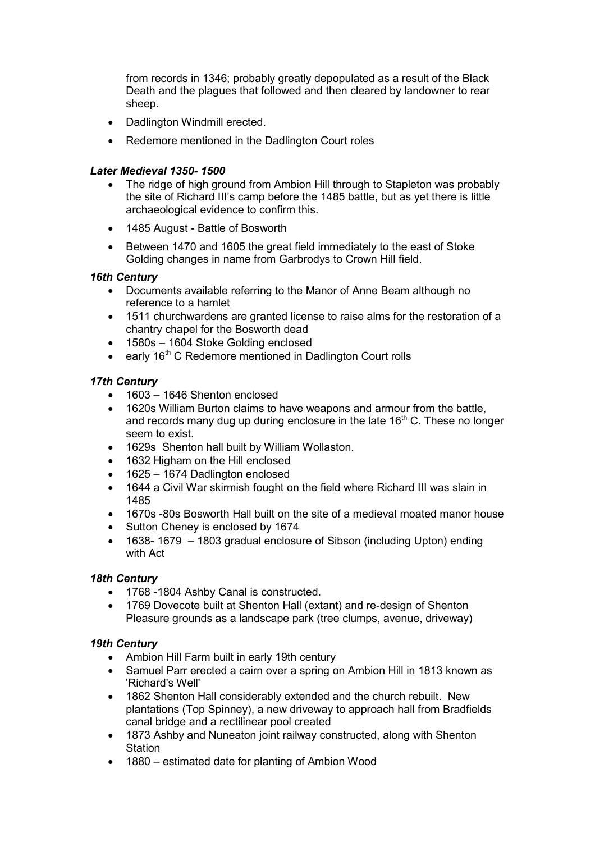from records in 1346; probably greatly depopulated as a result of the Black Death and the plagues that followed and then cleared by landowner to rear sheep.

- Dadlington Windmill erected.
- Redemore mentioned in the Dadlington Court roles

### Later Medieval 1350- 1500

- The ridge of high ground from Ambion Hill through to Stapleton was probably the site of Richard III's camp before the 1485 battle, but as yet there is little archaeological evidence to confirm this.
- 1485 August Battle of Bosworth
- Between 1470 and 1605 the great field immediately to the east of Stoke Golding changes in name from Garbrodys to Crown Hill field.

### 16th Century

- Documents available referring to the Manor of Anne Beam although no reference to a hamlet
- 1511 churchwardens are granted license to raise alms for the restoration of a chantry chapel for the Bosworth dead
- 1580s 1604 Stoke Golding enclosed
- early  $16<sup>th</sup>$  C Redemore mentioned in Dadlington Court rolls

## 17th Century

- 1603 1646 Shenton enclosed
- 1620s William Burton claims to have weapons and armour from the battle, and records many dug up during enclosure in the late  $16<sup>th</sup>$  C. These no longer seem to exist.
- 1629s Shenton hall built by William Wollaston.
- 1632 Higham on the Hill enclosed
- 1625 1674 Dadlington enclosed
- 1644 a Civil War skirmish fought on the field where Richard III was slain in 1485
- 1670s -80s Bosworth Hall built on the site of a medieval moated manor house
- Sutton Cheney is enclosed by 1674
- 1638- 1679 1803 gradual enclosure of Sibson (including Upton) ending with Act

### 18th Century

- 1768 -1804 Ashby Canal is constructed.
- 1769 Dovecote built at Shenton Hall (extant) and re-design of Shenton Pleasure grounds as a landscape park (tree clumps, avenue, driveway)

### 19th Century

- Ambion Hill Farm built in early 19th century
- Samuel Parr erected a cairn over a spring on Ambion Hill in 1813 known as 'Richard's Well'
- 1862 Shenton Hall considerably extended and the church rebuilt. New plantations (Top Spinney), a new driveway to approach hall from Bradfields canal bridge and a rectilinear pool created
- 1873 Ashby and Nuneaton joint railway constructed, along with Shenton **Station**
- 1880 estimated date for planting of Ambion Wood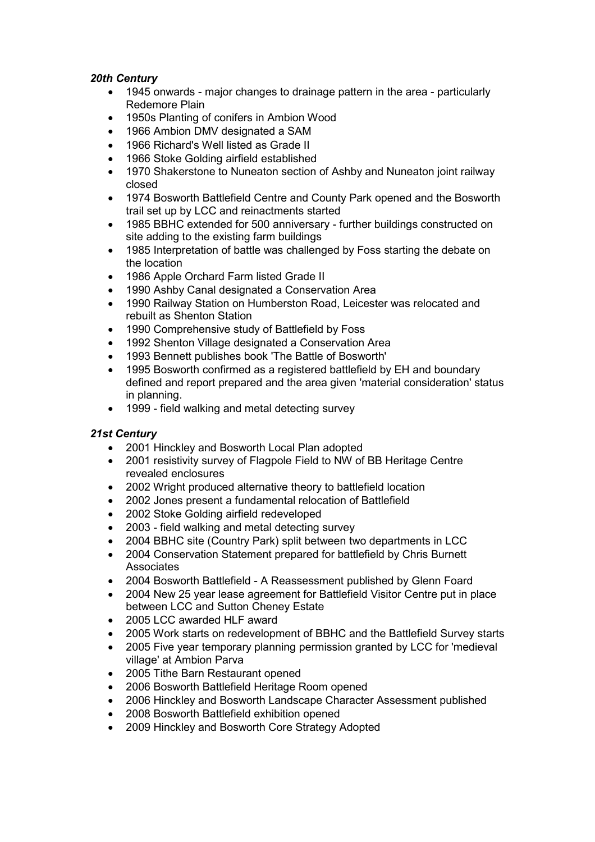### 20th Century

- 1945 onwards major changes to drainage pattern in the area particularly Redemore Plain
- 1950s Planting of conifers in Ambion Wood
- 1966 Ambion DMV designated a SAM
- 1966 Richard's Well listed as Grade II
- 1966 Stoke Golding airfield established
- 1970 Shakerstone to Nuneaton section of Ashby and Nuneaton joint railway closed
- 1974 Bosworth Battlefield Centre and County Park opened and the Bosworth trail set up by LCC and reinactments started
- 1985 BBHC extended for 500 anniversary further buildings constructed on site adding to the existing farm buildings
- 1985 Interpretation of battle was challenged by Foss starting the debate on the location
- 1986 Apple Orchard Farm listed Grade II
- 1990 Ashby Canal designated a Conservation Area
- 1990 Railway Station on Humberston Road, Leicester was relocated and rebuilt as Shenton Station
- 1990 Comprehensive study of Battlefield by Foss
- 1992 Shenton Village designated a Conservation Area
- 1993 Bennett publishes book 'The Battle of Bosworth'
- 1995 Bosworth confirmed as a registered battlefield by EH and boundary defined and report prepared and the area given 'material consideration' status in planning.
- 1999 field walking and metal detecting survey

## 21st Century

- 2001 Hinckley and Bosworth Local Plan adopted
- 2001 resistivity survey of Flagpole Field to NW of BB Heritage Centre revealed enclosures
- 2002 Wright produced alternative theory to battlefield location
- 2002 Jones present a fundamental relocation of Battlefield
- 2002 Stoke Golding airfield redeveloped
- 2003 field walking and metal detecting survey
- 2004 BBHC site (Country Park) split between two departments in LCC
- 2004 Conservation Statement prepared for battlefield by Chris Burnett **Associates**
- 2004 Bosworth Battlefield A Reassessment published by Glenn Foard
- 2004 New 25 year lease agreement for Battlefield Visitor Centre put in place between LCC and Sutton Cheney Estate
- 2005 LCC awarded HLF award
- 2005 Work starts on redevelopment of BBHC and the Battlefield Survey starts
- 2005 Five year temporary planning permission granted by LCC for 'medieval village' at Ambion Parva
- 2005 Tithe Barn Restaurant opened
- 2006 Bosworth Battlefield Heritage Room opened
- 2006 Hinckley and Bosworth Landscape Character Assessment published
- 2008 Bosworth Battlefield exhibition opened
- 2009 Hinckley and Bosworth Core Strategy Adopted